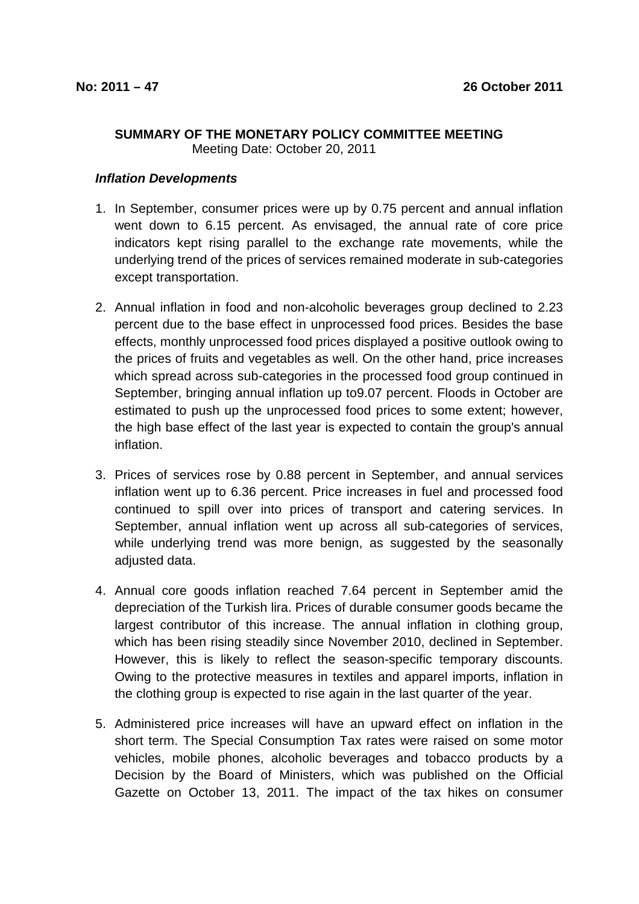## **SUMMARY OF THE MONETARY POLICY COMMITTEE MEETING**  Meeting Date: October 20, 2011

**Inflation Developments** 

- 1. In September, consumer prices were up by 0.75 percent and annual inflation went down to 6.15 percent. As envisaged, the annual rate of core price indicators kept rising parallel to the exchange rate movements, while the underlying trend of the prices of services remained moderate in sub-categories except transportation.
- 2. Annual inflation in food and non-alcoholic beverages group declined to 2.23 percent due to the base effect in unprocessed food prices. Besides the base effects, monthly unprocessed food prices displayed a positive outlook owing to the prices of fruits and vegetables as well. On the other hand, price increases which spread across sub-categories in the processed food group continued in September, bringing annual inflation up to9.07 percent. Floods in October are estimated to push up the unprocessed food prices to some extent; however, the high base effect of the last year is expected to contain the group's annual inflation.
- 3. Prices of services rose by 0.88 percent in September, and annual services inflation went up to 6.36 percent. Price increases in fuel and processed food continued to spill over into prices of transport and catering services. In September, annual inflation went up across all sub-categories of services, while underlying trend was more benign, as suggested by the seasonally adiusted data.
- 4. Annual core goods inflation reached 7.64 percent in September amid the depreciation of the Turkish lira. Prices of durable consumer goods became the largest contributor of this increase. The annual inflation in clothing group, which has been rising steadily since November 2010, declined in September. However, this is likely to reflect the season-specific temporary discounts. Owing to the protective measures in textiles and apparel imports, inflation in the clothing group is expected to rise again in the last quarter of the year.
- 5. Administered price increases will have an upward effect on inflation in the short term. The Special Consumption Tax rates were raised on some motor vehicles, mobile phones, alcoholic beverages and tobacco products by a Decision by the Board of Ministers, which was published on the Official Gazette on October 13, 2011. The impact of the tax hikes on consumer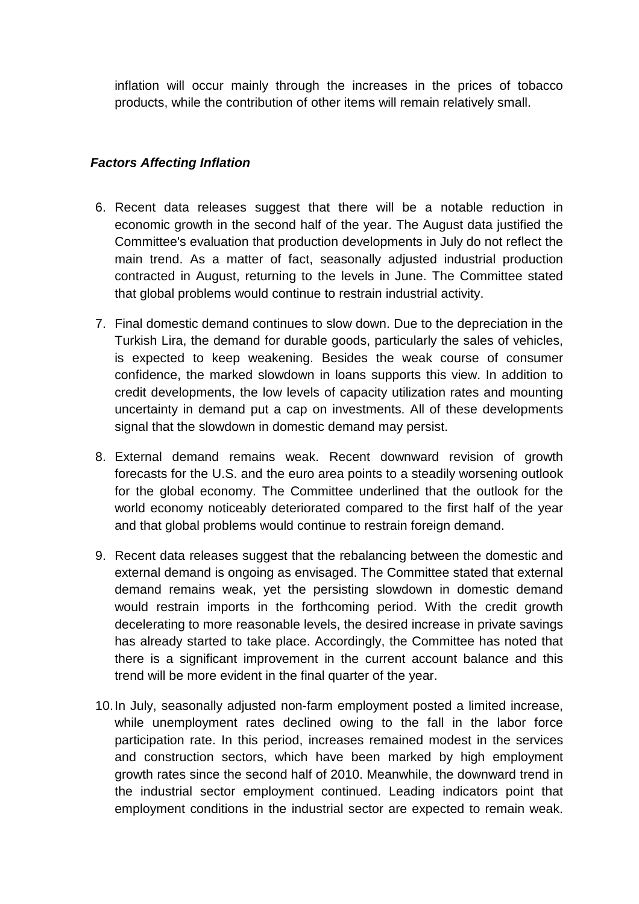inflation will occur mainly through the increases in the prices of tobacco products, while the contribution of other items will remain relatively small.

## **Factors Affecting Inflation**

- 6. Recent data releases suggest that there will be a notable reduction in economic growth in the second half of the year. The August data justified the Committee's evaluation that production developments in July do not reflect the main trend. As a matter of fact, seasonally adjusted industrial production contracted in August, returning to the levels in June. The Committee stated that global problems would continue to restrain industrial activity.
- 7. Final domestic demand continues to slow down. Due to the depreciation in the Turkish Lira, the demand for durable goods, particularly the sales of vehicles, is expected to keep weakening. Besides the weak course of consumer confidence, the marked slowdown in loans supports this view. In addition to credit developments, the low levels of capacity utilization rates and mounting uncertainty in demand put a cap on investments. All of these developments signal that the slowdown in domestic demand may persist.
- 8. External demand remains weak. Recent downward revision of growth forecasts for the U.S. and the euro area points to a steadily worsening outlook for the global economy. The Committee underlined that the outlook for the world economy noticeably deteriorated compared to the first half of the year and that global problems would continue to restrain foreign demand.
- 9. Recent data releases suggest that the rebalancing between the domestic and external demand is ongoing as envisaged. The Committee stated that external demand remains weak, yet the persisting slowdown in domestic demand would restrain imports in the forthcoming period. With the credit growth decelerating to more reasonable levels, the desired increase in private savings has already started to take place. Accordingly, the Committee has noted that there is a significant improvement in the current account balance and this trend will be more evident in the final quarter of the year.
- 10. In July, seasonally adjusted non-farm employment posted a limited increase, while unemployment rates declined owing to the fall in the labor force participation rate. In this period, increases remained modest in the services and construction sectors, which have been marked by high employment growth rates since the second half of 2010. Meanwhile, the downward trend in the industrial sector employment continued. Leading indicators point that employment conditions in the industrial sector are expected to remain weak.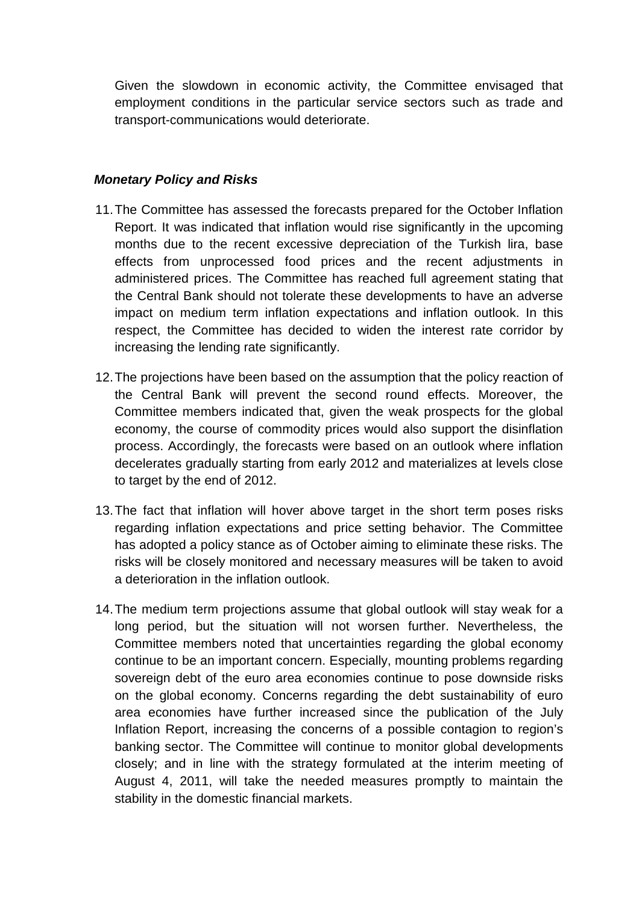Given the slowdown in economic activity, the Committee envisaged that employment conditions in the particular service sectors such as trade and transport-communications would deteriorate.

## **Monetary Policy and Risks**

- 11. The Committee has assessed the forecasts prepared for the October Inflation Report. It was indicated that inflation would rise significantly in the upcoming months due to the recent excessive depreciation of the Turkish lira, base effects from unprocessed food prices and the recent adjustments in administered prices. The Committee has reached full agreement stating that the Central Bank should not tolerate these developments to have an adverse impact on medium term inflation expectations and inflation outlook. In this respect, the Committee has decided to widen the interest rate corridor by increasing the lending rate significantly.
- 12. The projections have been based on the assumption that the policy reaction of the Central Bank will prevent the second round effects. Moreover, the Committee members indicated that, given the weak prospects for the global economy, the course of commodity prices would also support the disinflation process. Accordingly, the forecasts were based on an outlook where inflation decelerates gradually starting from early 2012 and materializes at levels close to target by the end of 2012.
- 13. The fact that inflation will hover above target in the short term poses risks regarding inflation expectations and price setting behavior. The Committee has adopted a policy stance as of October aiming to eliminate these risks. The risks will be closely monitored and necessary measures will be taken to avoid a deterioration in the inflation outlook.
- 14. The medium term projections assume that global outlook will stay weak for a long period, but the situation will not worsen further. Nevertheless, the Committee members noted that uncertainties regarding the global economy continue to be an important concern. Especially, mounting problems regarding sovereign debt of the euro area economies continue to pose downside risks on the global economy. Concerns regarding the debt sustainability of euro area economies have further increased since the publication of the July Inflation Report, increasing the concerns of a possible contagion to region's banking sector. The Committee will continue to monitor global developments closely; and in line with the strategy formulated at the interim meeting of August 4, 2011, will take the needed measures promptly to maintain the stability in the domestic financial markets.